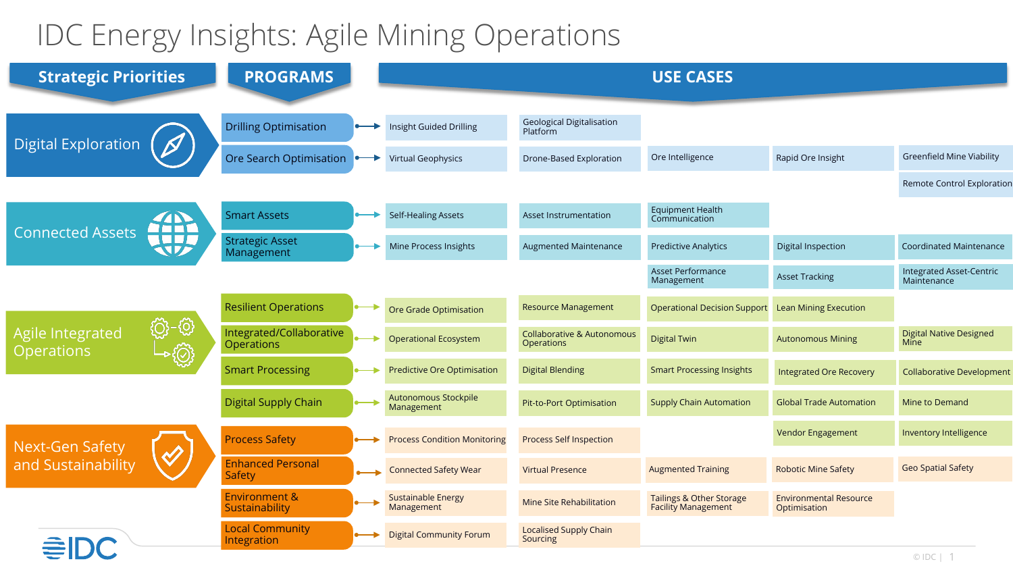## IDC Energy Insights: Agile Mining Operations